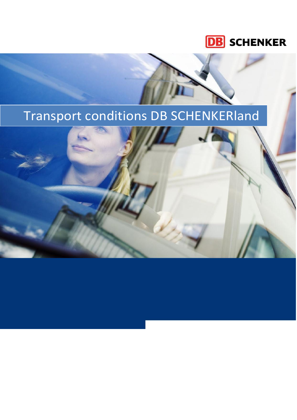## **DB** SCHENKER

**[År]**

# Transport conditions DB SCHENKERland

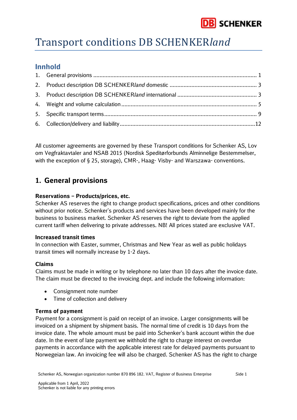

## Transport conditions DB SCHENKER*land*

## **Innhold**

All customer agreements are governed by these Transport conditions for Schenker AS, Lov om Vegfraktavtaler and NSAB 2015 (Nordisk Speditørforbunds Alminnelige Bestemmelser, with the exception of § 25, storage), CMR-, Haag- Visby- and Warszawa- conventions.

### <span id="page-1-0"></span>**1. General provisions**

#### **Reservations – Products/prices, etc.**

Schenker AS reserves the right to change product specifications, prices and other conditions without prior notice. Schenker's products and services have been developed mainly for the business to business market. Schenker AS reserves the right to deviate from the applied current tariff when delivering to private addresses. NB! All prices stated are exclusive VAT.

#### **Increased transit times**

In connection with Easter, summer, Christmas and New Year as well as public holidays transit times will normally increase by 1-2 days.

#### **Claims**

Claims must be made in writing or by telephone no later than 10 days after the invoice date. The claim must be directed to the invoicing dept. and include the following information:

- Consignment note number
- Time of collection and delivery

#### **Terms of payment**

Payment for a consignment is paid on receipt of an invoice. Larger consignments will be invoiced on a shipment by shipment basis. The normal time of credit is 10 days from the invoice date. The whole amount must be paid into Schenker's bank account within the due date. In the event of late payment we withhold the right to charge interest on overdue payments in accordance with the applicable interest rate for delayed payments pursuant to Norwegeian law. An invoicing fee will also be charged. Schenker AS has the right to charge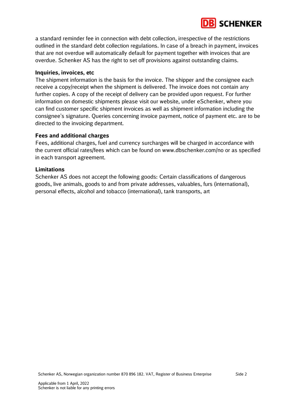a standard reminder fee in connection with debt collection, irrespective of the restrictions outlined in the standard debt collection regulations. In case of a breach in payment, invoices that are not overdue will automatically default for payment together with invoices that are overdue. Schenker AS has the right to set off provisions against outstanding claims.

#### **Inquiries, invoices, etc**

The shipment information is the basis for the invoice. The shipper and the consignee each receive a copy/receipt when the shipment is delivered. The invoice does not contain any further copies. A copy of the receipt of delivery can be provided upon request. For further information on domestic shipments please visit our website, under eSchenker, where you can find customer specific shipment invoices as well as shipment information including the consignee's signature. Queries concerning invoice payment, notice of payment etc. are to be directed to the invoicing department.

#### **Fees and additional charges**

Fees, additional charges, fuel and currency surcharges will be charged in accordance with the current official rates/fees which can be found on www.dbschenker.com/no or as specified in each transport agreement.

#### **Limitations**

Schenker AS does not accept the following goods: Certain classifications of dangerous goods, live animals, goods to and from private addresses, valuables, furs (international), personal effects, alcohol and tobacco (international), tank transports, art

**DB** SCHENKER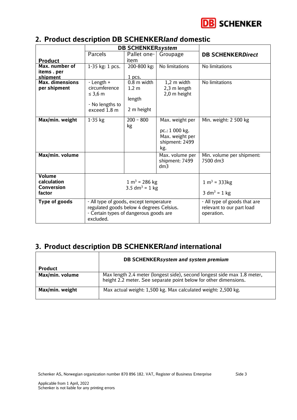

## <span id="page-3-0"></span>**2. Product description DB SCHENKER***land* **domestic**

|                        | <b>DB SCHENKERsystem</b>                 |                                               |                           |                              |
|------------------------|------------------------------------------|-----------------------------------------------|---------------------------|------------------------------|
|                        | Parcels                                  | Pallet one-                                   | Groupage                  | <b>DB SCHENKERDirect</b>     |
| <b>Product</b>         |                                          | item                                          |                           |                              |
| Max. number of         | 1-35 kg: 1 pcs.                          | 200-800 kg:                                   | No limitations            | No limitations               |
| items . per            |                                          |                                               |                           |                              |
| shipment               |                                          | 1 pcs.                                        |                           |                              |
| <b>Max. dimensions</b> | - Length +                               | $0.8$ m width                                 | 1,2 m width               | No limitations               |
| per shipment           | circumference                            | $1.2 \text{ m}$                               | 2,3 m length              |                              |
|                        | $\leq$ 3,6 m                             |                                               | 2,0 m height              |                              |
|                        | - No lengths to                          | length                                        |                           |                              |
|                        | exceed 1.8 m                             | 2 m height                                    |                           |                              |
|                        |                                          |                                               |                           |                              |
| Max/min. weight        | 1-35 kg                                  | $200 - 800$                                   | Max. weight per           | Min. weight: 2 500 kg        |
|                        |                                          | kg                                            |                           |                              |
|                        |                                          |                                               | pc.: 1 000 kg.            |                              |
|                        |                                          |                                               | Max. weight per           |                              |
|                        |                                          |                                               | shipment: 2499            |                              |
|                        |                                          |                                               | kg.                       |                              |
| Max/min. volume        |                                          |                                               | Max. volume per           | Min. volume per shipment:    |
|                        |                                          |                                               | shipment: 7499            | 7500 dm3                     |
|                        |                                          |                                               | dm3                       |                              |
| Volume                 |                                          |                                               |                           |                              |
| calculation            |                                          |                                               |                           | $1 m3 = 333 kg$              |
| <b>Conversion</b>      |                                          | $1 m3 = 286 kg$<br>3.5 dm <sup>3</sup> = 1 kg |                           |                              |
| factor                 |                                          |                                               |                           | 3 dm <sup>3</sup> = 1 kg     |
|                        |                                          |                                               |                           |                              |
| <b>Type of goods</b>   |                                          | - All type of goods, except temperature       |                           | - All type of goods that are |
|                        | regulated goods below 4 degrees Celsius. |                                               | relevant to our part load |                              |
|                        | - Certain types of dangerous goods are   |                                               | operation.                |                              |
|                        | excluded.                                |                                               |                           |                              |

## <span id="page-3-1"></span>**3. Product description DB SCHENKER***land* **international**

|                 | DB SCHENKERsystem and system premium                                                                                                        |  |  |
|-----------------|---------------------------------------------------------------------------------------------------------------------------------------------|--|--|
| <b>Product</b>  |                                                                                                                                             |  |  |
| Max/min. volume | Max length 2.4 meter (longest side), second longest side max 1.8 meter,<br>height 2.2 meter. See separate point below for other dimensions. |  |  |
| Max/min. weight | Max actual weight: 1,500 kg. Max calculated weight: 2,500 kg.                                                                               |  |  |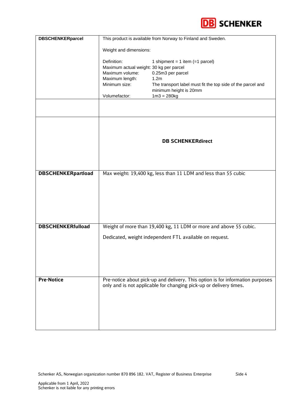

| <b>DBSCHENKERparcel</b>   | This product is available from Norway to Finland and Sweden. |                                                                                |  |  |
|---------------------------|--------------------------------------------------------------|--------------------------------------------------------------------------------|--|--|
|                           | Weight and dimensions:                                       |                                                                                |  |  |
|                           |                                                              |                                                                                |  |  |
|                           | Definition:<br>Maximum actual weight: 30 kg per parcel       | 1 shipment = $1$ item (= 1 parcel)                                             |  |  |
|                           | Maximum volume:                                              | 0.25m3 per parcel                                                              |  |  |
|                           | Maximum length:<br>Minimum size:                             | 1.2m<br>The transport label must fit the top side of the parcel and            |  |  |
|                           |                                                              | minimum height is 20mm                                                         |  |  |
|                           | Volumefactor:                                                | $1m3 = 280kg$                                                                  |  |  |
|                           |                                                              |                                                                                |  |  |
|                           |                                                              |                                                                                |  |  |
|                           | <b>DB SCHENKERdirect</b>                                     |                                                                                |  |  |
|                           |                                                              |                                                                                |  |  |
|                           |                                                              |                                                                                |  |  |
| <b>DBSCHENKERpartload</b> |                                                              | Max weight: 19,400 kg, less than 11 LDM and less than 55 cubic                 |  |  |
|                           |                                                              |                                                                                |  |  |
|                           |                                                              |                                                                                |  |  |
|                           |                                                              |                                                                                |  |  |
|                           |                                                              |                                                                                |  |  |
|                           |                                                              |                                                                                |  |  |
| <b>DBSCHENKERfulload</b>  |                                                              | Weight of more than 19,400 kg, 11 LDM or more and above 55 cubic.              |  |  |
|                           |                                                              | Dedicated, weight independent FTL available on request.                        |  |  |
|                           |                                                              |                                                                                |  |  |
|                           |                                                              |                                                                                |  |  |
|                           |                                                              |                                                                                |  |  |
|                           |                                                              |                                                                                |  |  |
| <b>Pre-Notice</b>         |                                                              | Pre-notice about pick-up and delivery. This option is for information purposes |  |  |
|                           |                                                              | only and is not applicable for changing pick-up or delivery times.             |  |  |
|                           |                                                              |                                                                                |  |  |
|                           |                                                              |                                                                                |  |  |
|                           |                                                              |                                                                                |  |  |
|                           |                                                              |                                                                                |  |  |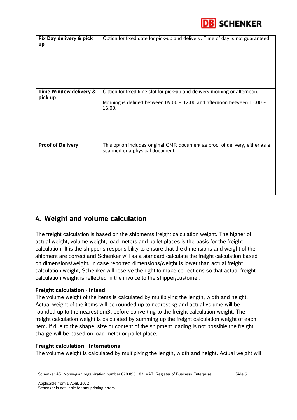

| Fix Day delivery & pick<br>up     | Option for fixed date for pick-up and delivery. Time of day is not guaranteed.                                                                                |
|-----------------------------------|---------------------------------------------------------------------------------------------------------------------------------------------------------------|
| Time Window delivery &<br>pick up | Option for fixed time slot for pick-up and delivery morning or afternoon.<br>Morning is defined between 09.00 - 12.00 and afternoon between 13.00 -<br>16.00. |
| <b>Proof of Delivery</b>          | This option includes original CMR-document as proof of delivery, either as a<br>scanned or a physical document.                                               |

## <span id="page-5-0"></span>**4. Weight and volume calculation**

The freight calculation is based on the shipments freight calculation weight. The higher of actual weight, volume weight, load meters and pallet places is the basis for the freight calculation. It is the shipper's responsibility to ensure that the dimensions and weight of the shipment are correct and Schenker will as a standard calculate the freight calculation based on dimensions/weight. In case reported dimensions/weight is lower than actual freight calculation weight, Schenker will reserve the right to make corrections so that actual freight calculation weight is reflected in the invoice to the shipper/customer.

#### **Freight calculation - Inland**

The volume weight of the items is calculated by multiplying the length, width and height. Actual weight of the items will be rounded up to nearest kg and actual volume will be rounded up to the nearest dm3, before converting to the freight calculation weight. The freight calculation weight is calculated by summing up the freight calculation weight of each item. If due to the shape, size or content of the shipment loading is not possible the freight charge will be based on load meter or pallet place.

#### **Freight calculation - International**

The volume weight is calculated by multiplying the length, width and height. Actual weight will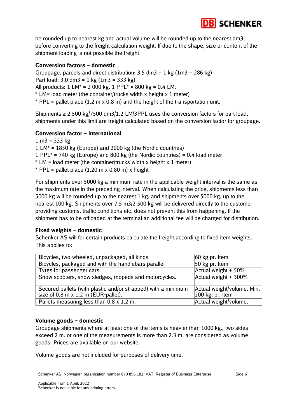

be rounded up to nearest kg and actual volume will be rounded up to the nearest dm3, before converting to the freight calculation weight. If due to the shape, size or content of the shipment loading is not possible the freight

#### **Conversion factors – domestic**

Groupage, parcels and direct distribution:  $3.5 \text{ dm}^3 = 1 \text{ kg } (1 \text{ m}^3 = 286 \text{ kg})$ Part load: 3.0 dm3 = 1 kg  $(1m3 = 333 kg)$ All products:  $1 \text{ LM}^* = 2000 \text{ kg}$ .  $1 \text{ PPL}^* = 800 \text{ kg} = 0.4 \text{ LM}$ . \* LM= load meter (the container/trucks width x height x 1 meter)  $*$  PPL = pallet place (1.2 m x 0.8 m) and the height of the transportation unit.

Shipments  $\geq 2$  500 kg/7500 dm3/1.2 LM/3PPL uses the conversion factors for part load, shipments under this limit are freight calculated based on the conversion factor for groupage.

#### **Conversion factor – international**

1 m3 = 333 kg 1 LM\* = 1850 kg (Europe) and 2000 kg (the Nordic countries) 1 PPL $*$  = 740 kg (Europe) and 800 kg (the Nordic countries) = 0.4 load meter

- $*$  LM = load meter (the container/trucks width x height x 1 meter)
- $*$  PPL = pallet place (1.20 m x 0.80 m) x height

For shipments over 5000 kg a minimum rate in the applicable weight interval is the same as the maximum rate in the preceding interval. When calculating the price, shipments less than 5000 kg will be rounded up to the nearest 1 kg, and shipments over 5000 kg, up to the nearest 100 kg. Shipments over 7.5 m3/2 500 kg will be delivered directly to the customer providing customs, traffic conditions etc. does not prevent this from happening. If the shipment has to be offloaded at the terminal an additional fee will be charged for distribution.

#### **Fixed weights – domestic**

Schenker AS will for certain products calculate the freight according to fixed item weights. This applies to:

| Bicycles, two-wheeled, unpackaged, all kinds                  | 60 kg pr. Item             |
|---------------------------------------------------------------|----------------------------|
| Bicycles, packaged and with the handlebars parallel           | 50 kg pr. Item             |
| Tyres for passenger cars.                                     | Actual weight + 50%        |
| Snow scooters, snow sledges, mopeds and motorcycles.          | Actual weight + 300%       |
| Secured pallets (with plastic and/or strapped) with a minimum | Actual weight/volume. Min. |
| size of 0.8 m x 1.2 m (EUR-pallet).                           | 200 kg. pr. item           |
| Pallets measuring less than 0.8 x 1.2 m.                      | Actual weight/volume.      |

#### **Volume goods – domestic**

Groupage shipments where at least one of the items is heavier than 1000 kg., two sides exceed 2 m. or one of the measurements is more than 2.3 m, are considered as volume goods. Prices are available on our website.

Volume goods are not included for purposes of delivery time.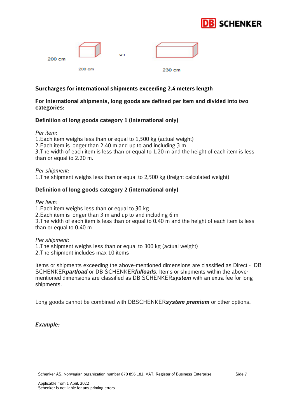

| 200 cm |        | oτ |        |  |
|--------|--------|----|--------|--|
|        | 200 cm |    | 230 cm |  |

#### **Surcharges for international shipments exceeding 2.4 meters length**

#### **For international shipments, long goods are defined per item and divided into two categories:**

#### **Definition of long goods category 1 (international only)**

*Per item:*

1.Each item weighs less than or equal to 1,500 kg (actual weight) 2.Each item is longer than 2.40 m and up to and including 3 m 3.The width of each item is less than or equal to 1.20 m and the height of each item is less than or equal to 2.20 m.

*Per shipment:*  1.The shipment weighs less than or equal to 2,500 kg (freight calculated weight)

#### **Definition of long goods category 2 (international only)**

*Per item:*

1.Each item weighs less than or equal to 30 kg 2.Each item is longer than 3 m and up to and including 6 m 3.The width of each item is less than or equal to 0.40 m and the height of each item is less than or equal to 0.40 m

*Per shipment:*

1.The shipment weighs less than or equal to 300 kg (actual weight)

2.The shipment includes max 10 items

Items or shipments exceeding the above-mentioned dimensions are classified as Direct - DB SCHENKER*partload* or DB SCHENKER*fulloads*. Items or shipments within the abovementioned dimensions are classified as DB SCHENKER*system* with an extra fee for long shipments.

Long goods cannot be combined with DBSCHENKER*system premium* or other options.

#### *Example:*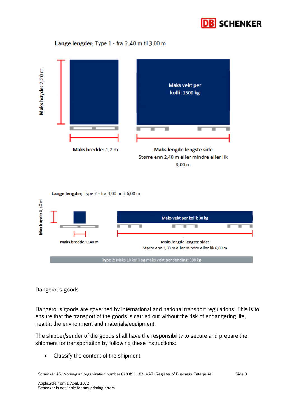

#### Lange lengder; Type 1 - fra 2,40 m til 3,00 m



#### Lange lengder; Type 2 - fra 3,00 m til 6,00 m



#### Dangerous goods

Dangerous goods are governed by international and national transport regulations. This is to ensure that the transport of the goods is carried out without the risk of endangering life, health, the environment and materials/equipment.

The shipper/sender of the goods shall have the responsibility to secure and prepare the shipment for transportation by following these instructions:

• Classify the content of the shipment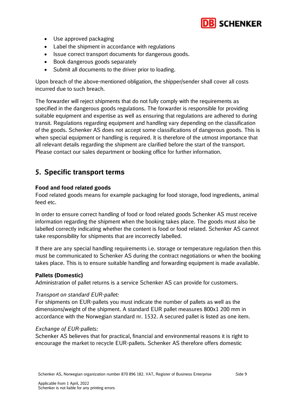

- Use approved packaging
- Label the shipment in accordance with regulations
- Issue correct transport documents for dangerous goods.
- Book dangerous goods separately
- Submit all documents to the driver prior to loading.

Upon breach of the above-mentioned obligation, the shipper/sender shall cover all costs incurred due to such breach.

The forwarder will reject shipments that do not fully comply with the requirements as specified in the dangerous goods regulations. The forwarder is responsible for providing suitable equipment and expertise as well as ensuring that regulations are adhered to during transit. Regulations regarding equipment and handling vary depending on the classification of the goods. Schenker AS does not accept some classifications of dangerous goods. This is when special equipment or handling is required. It is therefore of the utmost importance that all relevant details regarding the shipment are clarified before the start of the transport. Please contact our sales department or booking office for further information.

### <span id="page-9-0"></span>**5. Specific transport terms**

#### **Food and food related goods**

Food related goods means for example packaging for food storage, food ingredients, animal feed etc.

In order to ensure correct handling of food or food related goods Schenker AS must receive information regarding the shipment when the booking takes place. The goods must also be labelled correctly indicating whether the content is food or food related. Schenker AS cannot take responsibility for shipments that are incorrectly labelled.

If there are any special handling requirements i.e. storage or temperature regulation then this must be communicated to Schenker AS during the contract negotiations or when the booking takes place. This is to ensure suitable handling and forwarding equipment is made available.

#### **Pallets (Domestic)**

Administration of pallet returns is a service Schenker AS can provide for customers.

#### *Transport on standard EUR-pallet:*

For shipments on EUR-pallets you must indicate the number of pallets as well as the dimensions/weight of the shipment. A standard EUR pallet measures 800x1 200 mm in accordance with the Norwegian standard nr. 1532. A secured pallet is listed as one item.

#### *Exchange of EUR-pallets:*

Schenker AS believes that for practical, financial and environmental reasons it is right to encourage the market to recycle EUR-pallets. Schenker AS therefore offers domestic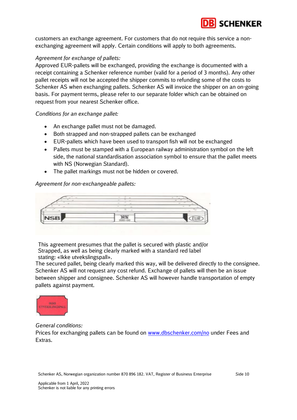

customers an exchange agreement. For customers that do not require this service a nonexchanging agreement will apply. Certain conditions will apply to both agreements.

#### *Agreement for exchange of pallets:*

Approved EUR-pallets will be exchanged, providing the exchange is documented with a receipt containing a Schenker reference number (valid for a period of 3 months). Any other pallet receipts will not be accepted the shipper commits to refunding some of the costs to Schenker AS when exchanging pallets. Schenker AS will invoice the shipper on an on-going basis. For payment terms, please refer to our separate folder which can be obtained on request from your nearest Schenker office.

*Conditions for an exchange pallet:*

- An exchange pallet must not be damaged.
- Both strapped and non-strapped pallets can be exchanged
- EUR-pallets which have been used to transport fish will not be exchanged
- Pallets must be stamped with a European railway administration symbol on the left side, the national standardisation association symbol to ensure that the pallet meets with NS (Norwegian Standard).
- The pallet markings must not be hidden or covered.

#### *Agreement for non-exchangeable pallets:*



This agreement presumes that the pallet is secured with plastic and/or Strapped, as well as being clearly marked with a standard red label stating: «Ikke utvekslingspall».

The secured pallet, being clearly marked this way, will be delivered directly to the consignee. Schenker AS will not request any cost refund. Exchange of pallets will then be an issue between shipper and consignee. Schenker AS will however handle transportation of empty pallets against payment.



*General conditions:*

Prices for exchanging pallets can be found on [www.dbschenker.com/no](http://www.dbschenker.com/no) under Fees and Extras.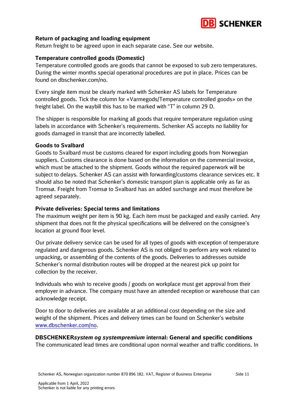

#### **Return of packaging and loading equipment**

Return freight to be agreed upon in each separate case. See our website.

#### **Temperature controlled goods (Domestic)**

Temperature controlled goods are goods that cannot be exposed to sub zero temperatures. During the winter months special operational procedures are put in place. Prices can be found on dbschenker.com/no.

Every single item must be clearly marked with Schenker AS labels for Temperature controlled goods. Tick the column for «Varmegods/Temperature controlled goods» on the freight label. On the waybill this has to be marked with "T" in column 29 D.

The shipper is responsible for marking all goods that require temperature regulation using labels in accordance with Schenker's requirements. Schenker AS accepts no liability for goods damaged in transit that are incorrectly labelled.

#### **Goods to Svalbard**

Goods to Svalbard must be customs cleared for export including goods from Norwegian suppliers. Customs clearance is done based on the information on the commercial invoice, which must be attached to the shipment. Goods without the required paperwork will be subject to delays. Schenker AS can assist with forwarding/customs clearance services etc. It should also be noted that Schenker's domestic transport plan is applicable only as far as Tromsø. Freight from Tromsø to Svalbard has an added surcharge and must therefore be agreed separately.

#### **Private deliveries: Special terms and limitations**

The maximum weight per item is 90 kg. Each item must be packaged and easily carried. Any shipment that does not fit the physical specifications will be delivered on the consignee's location at ground floor level.

Our private delivery service can be used for all types of goods with exception of temperature regulated and dangerous goods. Schenker AS is not obliged to perform any work related to unpacking, or assembling of the contents of the goods. Deliveries to addresses outside Schenker's normal distribution routes will be dropped at the nearest pick up point for collection by the receiver.

Individuals who wish to receive goods / goods on workplace must get approval from their employer in advance. The company must have an attended reception or warehouse that can acknowledge receipt.

Door to door to deliveries are available at an additional cost depending on the size and weight of the shipment. Prices and delivery times can be found on Schenker's website [www.dbschenker.com/no.](http://www.dbschenker.com/no)

**DBSCHENKER***system og systempremium* **internal: General and specific conditions**  The communicated lead times are conditional upon normal weather and traffic conditions. In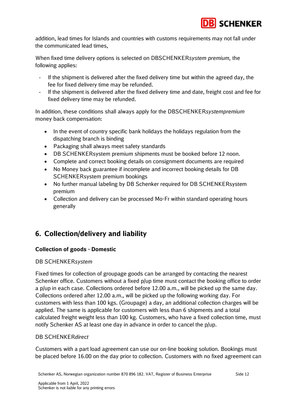

addition, lead times for Islands and countries with customs requirements may not fall under the communicated lead times,

When fixed time delivery options is selected on DBSCHENKER*system premium,* the following applies:

- If the shipment is delivered after the fixed delivery time but within the agreed day, the fee for fixed delivery time may be refunded.
- If the shipment is delivered after the fixed delivery time and date, freight cost and fee for fixed delivery time may be refunded.

In addition, these conditions shall always apply for the DBSCHENKER*systempremium*  money back compensation:

- In the event of country specific bank holidays the holidays regulation from the dispatching branch is binding
- Packaging shall always meet safety standards
- DB SCHENKERsystem premium shipments must be booked before 12 noon.
- Complete and correct booking details on consignment documents are required
- No Money back guarantee if incomplete and incorrect booking details for DB SCHENKERsystem premium bookings
- No further manual labeling by DB Schenker required for DB SCHENKERsystem premium
- Collection and delivery can be processed Mo-Fr within standard operating hours generally

## <span id="page-12-0"></span>**6. Collection/delivery and liability**

#### **Collection of goods - Domestic**

#### DB SCHENKER*system*

Fixed times for collection of groupage goods can be arranged by contacting the nearest Schenker office. Customers without a fixed p/up time must contact the booking office to order a p/up in each case. Collections ordered before 12.00 a.m., will be picked up the same day. Collections ordered after 12.00 a.m., will be picked up the following working day. For customers with less than 100 kgs. (Groupage) a day, an additional collection charges will be applied. The same is applicable for customers with less than 6 shipments and a total calculated freight weight less than 100 kg. Customers, who have a fixed collection time, must notify Schenker AS at least one day in advance in order to cancel the p/up.

#### DB SCHENKER*direct*

Customers with a part load agreement can use our on-line booking solution. Bookings must be placed before 16.00 on the day prior to collection. Customers with no fixed agreement can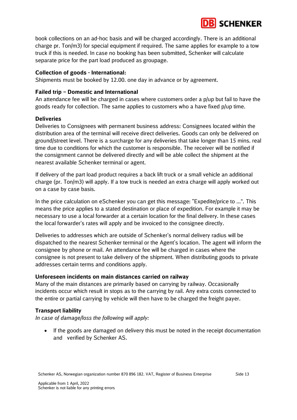

book collections on an ad-hoc basis and will be charged accordingly. There is an additional charge pr. Ton/m3) for special equipment if required. The same applies for example to a tow truck if this is needed. In case no booking has been submitted, Schenker will calculate separate price for the part load produced as groupage.

#### **Collection of goods - International:**

Shipments must be booked by 12.00. one day in advance or by agreement.

#### **Failed trip – Domestic and International**

An attendance fee will be charged in cases where customers order a p/up but fail to have the goods ready for collection. The same applies to customers who a have fixed p/up time.

#### **Deliveries**

Deliveries to Consignees with permanent business address: Consignees located within the distribution area of the terminal will receive direct deliveries. Goods can only be delivered on ground/street level. There is a surcharge for any deliveries that take longer than 15 mins. real time due to conditions for which the customer is responsible. The receiver will be notified if the consignment cannot be delivered directly and will be able collect the shipment at the nearest available Schenker terminal or agent.

If delivery of the part load product requires a back lift truck or a small vehicle an additional charge (pr. Ton/m3) will apply. If a tow truck is needed an extra charge will apply worked out on a case by case basis.

In the price calculation on eSchenker you can get this message: "Expedite/price to ...". This means the price applies to a stated destination or place of expedition. For example it may be necessary to use a local forwarder at a certain location for the final delivery. In these cases the local forwarder's rates will apply and be invoiced to the consignee directly.

Deliveries to addresses which are outside of Schenker's normal delivery radius will be dispatched to the nearest Schenker terminal or the Agent's location. The agent will inform the consignee by phone or mail. An attendance fee will be charged in cases where the consignee is not present to take delivery of the shipment. When distributing goods to private addresses certain terms and conditions apply.

#### **Unforeseen incidents on main distances carried on railway**

Many of the main distances are primarily based on carrying by railway. Occasionally incidents occur which result in stops as to the carrying by rail. Any extra costs connected to the entire or partial carrying by vehicle will then have to be charged the freight payer.

#### **Transport liability**

*In case of damage/loss the following will apply:*

• If the goods are damaged on delivery this must be noted in the receipt documentation and verified by Schenker AS.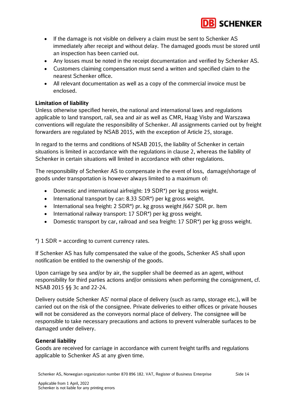

- If the damage is not visible on delivery a claim must be sent to Schenker AS immediately after receipt and without delay. The damaged goods must be stored until an inspection has been carried out.
- Any losses must be noted in the receipt documentation and verified by Schenker AS.
- Customers claiming compensation must send a written and specified claim to the nearest Schenker office.
- All relevant documentation as well as a copy of the commercial invoice must be enclosed.

#### **Limitation of liability**

Unless otherwise specified herein, the national and international laws and regulations applicable to land transport, rail, sea and air as well as CMR, Haag Visby and Warszawa conventions will regulate the responsibility of Schenker. All assignments carried out by freight forwarders are regulated by NSAB 2015, with the exception of Article 25, storage.

In regard to the terms and conditions of NSAB 2015, the liability of Schenker in certain situations is limited in accordance with the regulations in clause 2, whereas the liability of Schenker in certain situations will limited in accordance with other regulations.

The responsibility of Schenker AS to compensate in the event of loss, damage/shortage of goods under transportation is however always limited to a maximum of:

- Domestic and international airfreight: 19 SDR\*) per kg gross weight.
- International transport by car: 8.33 SDR<sup>\*</sup>) per kg gross weight.
- International sea freight: 2 SDR\*) pr. kg gross weight /667 SDR pr. Item
- International railway transport: 17 SDR<sup>\*</sup>) per kg gross weight.
- Domestic transport by car, railroad and sea freight: 17 SDR\*) per kg gross weight.

\*) 1 SDR = according to current currency rates.

If Schenker AS has fully compensated the value of the goods, Schenker AS shall upon notification be entitled to the ownership of the goods.

Upon carriage by sea and/or by air, the supplier shall be deemed as an agent, without responsibility for third parties actions and/or omissions when performing the consignment, cf. NSAB 2015 §§ 3c and 22-24.

Delivery outside Schenker AS' normal place of delivery (such as ramp, storage etc.), will be carried out on the risk of the consignee. Private deliveries to either offices or private houses will not be considered as the conveyors normal place of delivery. The consignee will be responsible to take necessary precautions and actions to prevent vulnerable surfaces to be damaged under delivery.

#### **General liability**

Goods are received for carriage in accordance with current freight tariffs and regulations applicable to Schenker AS at any given time.